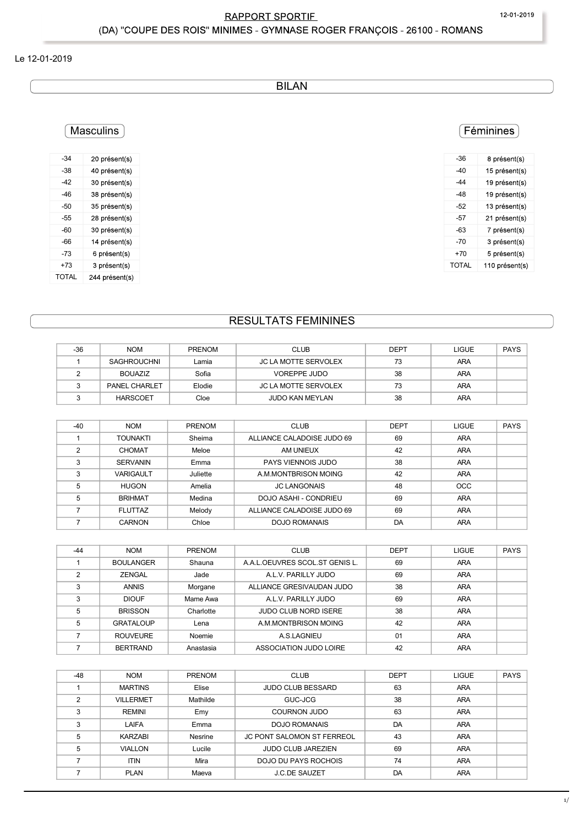BILAN

# Masculins

| $-34$ | 20 présent(s)  |
|-------|----------------|
| $-38$ | 40 présent(s)  |
| $-42$ | 30 présent(s)  |
| $-46$ | 38 présent(s)  |
| $-50$ | 35 présent(s)  |
| $-55$ | 28 présent(s)  |
| $-60$ | 30 présent(s)  |
| -66   | 14 présent(s)  |
| $-73$ | 6 présent(s)   |
| $+73$ | 3 présent(s)   |
| TOTAL | 244 présent(s) |

| $-36$ | 8 présent(s)   |
|-------|----------------|
| $-40$ | 15 présent(s)  |
| $-44$ | 19 présent(s)  |
| $-48$ | 19 présent(s)  |
| $-52$ | 13 présent(s)  |
| $-57$ | 21 présent(s)  |
| $-63$ | 7 présent(s)   |
| $-70$ | 3 présent(s)   |
| $+70$ | 5 présent(s)   |
| TOTAL | 110 présent(s) |
|       |                |

# RESULTATS FEMININES

|                | <b>Masculins</b>            |        |                            |             |              | Féminines      |
|----------------|-----------------------------|--------|----------------------------|-------------|--------------|----------------|
|                |                             |        |                            |             |              |                |
| $-34$          | 20 présent(s)               |        |                            |             | $-36$        | 8 présent(s)   |
| $-38$          | 40 présent(s)               |        |                            |             | $-40$        | 15 présent(s)  |
| $-42$          | 30 présent(s)               |        |                            |             | $-44$        | 19 présent(s)  |
| $-46$          | 38 présent(s)               |        |                            |             | $-48$        | 19 présent(s)  |
| $-50$          | 35 présent(s)               |        |                            |             | $-52$        | 13 présent(s)  |
| $-55$          | 28 présent(s)               |        |                            |             | $-57$        | 21 présent(s)  |
| $-60$          | 30 présent(s)               |        |                            |             | $-63$        | 7 présent(s)   |
| $-66$          | 14 présent(s)               |        |                            |             | $-70$        | 3 présent(s)   |
| $-73$          | 6 présent(s)                |        |                            |             | $+70$        | 5 présent(s)   |
| $+73$          | 3 présent(s)                |        |                            |             | <b>TOTAL</b> | 110 présent(s) |
| <b>TOTAL</b>   | 244 présent(s)              |        |                            |             |              |                |
|                |                             |        | <b>RESULTATS FEMININES</b> |             |              |                |
|                |                             |        |                            |             |              |                |
| $-36$          | <b>NOM</b>                  | PRENOM | <b>CLUB</b>                | <b>DEPT</b> | LIGUE        | PAYS           |
| $\overline{1}$ | SAGHROUCHNI                 | Lamia  | JC LA MOTTE SERVOLEX       | 73          | ARA          |                |
| $\overline{2}$ | <b>BOUAZIZ</b>              | Sofia  | VOREPPE JUDO               | 38          | ARA          |                |
| $\mathbf{3}$   | PANEL CHARLET               | Elodie | JC LA MOTTE SERVOLEX       | 73          | <b>ARA</b>   |                |
| $\mathbf{3}$   | <b>HARSCOET</b>             | Cloe   | JUDO KAN MEYLAN            | 38          | ARA          |                |
|                |                             |        |                            |             |              |                |
| $-40$          | <b>NOM</b>                  | PRENOM | <b>CLUB</b>                | <b>DEPT</b> | <b>LIGUE</b> | PAYS           |
| $\overline{1}$ | <b>TOUNAKTI</b>             | Sheima | ALLIANCE CALADOISE JUDO 69 | 69          | ARA          |                |
| $\overline{2}$ | CHOMAT                      | Meloe  | AM UNIEUX                  | 42          | ARA          |                |
|                | $\sim$ $\sim$ $\sim$ $\sim$ |        | P                          |             |              |                |

| -38             | 40 présent(s)    |               |                                   |             | -40          | 15 présent(s)  |
|-----------------|------------------|---------------|-----------------------------------|-------------|--------------|----------------|
| -42             | 30 présent(s)    |               |                                   |             | -44          | 19 présent(s)  |
| -46             | 38 présent(s)    |               |                                   |             | $-48$        | 19 présent(s)  |
| -50             | 35 présent(s)    |               |                                   |             | $-52$        | 13 présent(s)  |
| -55             | 28 présent(s)    |               |                                   |             | $-57$        | 21 présent(s)  |
| -60             | 30 présent(s)    |               |                                   |             | $-63$        | 7 présent(s)   |
| -66             | 14 présent(s)    |               |                                   |             | $-70$        | 3 présent(s)   |
| -73             | 6 présent(s)     |               |                                   |             | $+70$        | 5 présent(s)   |
| $+73$           | 3 présent(s)     |               |                                   |             | <b>TOTAL</b> | 110 présent(s) |
| TOTAL           | 244 présent(s)   |               |                                   |             |              |                |
|                 |                  |               | <b>RESULTATS FEMININES</b>        |             |              |                |
|                 |                  |               |                                   |             |              |                |
| $-36$           | <b>NOM</b>       | <b>PRENOM</b> | <b>CLUB</b>                       | <b>DEPT</b> | <b>LIGUE</b> | PAYS           |
| $\mathbf{1}$    | SAGHROUCHNI      | Lamia         | JC LA MOTTE SERVOLEX              | 73          | ARA          |                |
| $\overline{2}$  | <b>BOUAZIZ</b>   | Sofia         | VOREPPE JUDO                      | 38          | ARA          |                |
| $\mathbf{3}$    | PANEL CHARLET    | Elodie        | JC LA MOTTE SERVOLEX              | 73          | ARA          |                |
| $\mathbf{3}$    | <b>HARSCOET</b>  | Cloe          | JUDO KAN MEYLAN                   | 38          | ARA          |                |
|                 |                  |               |                                   |             |              |                |
| $-40$           | <b>NOM</b>       | <b>PRENOM</b> | <b>CLUB</b>                       | <b>DEPT</b> | <b>LIGUE</b> | <b>PAYS</b>    |
| $\mathbf{1}$    | <b>TOUNAKTI</b>  | Sheima        | ALLIANCE CALADOISE JUDO 69        | 69          | ARA          |                |
| $\overline{2}$  | <b>CHOMAT</b>    | Meloe         | AM UNIEUX                         | 42          | ARA          |                |
|                 | <b>SERVANIN</b>  |               | PAYS VIENNOIS JUDO                | 38          |              |                |
| 3               |                  | Emma          |                                   |             | ARA          |                |
| 3               | <b>VARIGAULT</b> | Juliette      | A.M.MONTBRISON MOING              | 42          | ARA          |                |
| $\overline{5}$  | <b>HUGON</b>     | Amelia        | <b>JC LANGONAIS</b>               | 48          | OCC          |                |
| $\overline{5}$  | <b>BRIHMAT</b>   | Medina        | DOJO ASAHI - CONDRIEU             | 69          | ARA          |                |
| $\overline{7}$  | <b>FLUTTAZ</b>   | Melody        | ALLIANCE CALADOISE JUDO 69        | 69          | ARA          |                |
| $\overline{7}$  | CARNON           | Chloe         | <b>DOJO ROMANAIS</b>              | DA          | ARA          |                |
|                 |                  |               |                                   |             |              |                |
| -44             | <b>NOM</b>       | PRENOM        | <b>CLUB</b>                       | <b>DEPT</b> | <b>LIGUE</b> | PAYS           |
| $\mathbf{1}$    | <b>BOULANGER</b> | Shauna        | A.A.L.OEUVRES SCOL.ST GENIS L.    | 69          | ARA          |                |
| $\overline{2}$  | ZENGAL           | Jade          | A.L.V. PARILLY JUDO               | 69          | ARA          |                |
| 3               | <b>ANNIS</b>     | Morgane       | ALLIANCE GRESIVAUDAN JUDO         | 38          | ARA          |                |
| 3               | <b>DIOUF</b>     | Mame Awa      | A.L.V. PARILLY JUDO               | 69          | ARA          |                |
| 5               | <b>BRISSON</b>   | Charlotte     | JUDO CLUB NORD ISERE              | 38          | ARA          |                |
| $5\phantom{.0}$ | <b>GRATALOUP</b> | Lena          | A.M.MONTBRISON MOING              | 42          | ARA          |                |
| $\overline{7}$  | <b>ROUVEURE</b>  | Noemie        | A.S.LAGNIEU                       | 01          | ARA          |                |
| $\overline{7}$  | <b>BERTRAND</b>  | Anastasia     | ASSOCIATION JUDO LOIRE            | 42          | ARA          |                |
|                 |                  |               |                                   |             |              |                |
| $-48$           | <b>NOM</b>       | PRENOM        | <b>CLUB</b>                       | <b>DEPT</b> | <b>LIGUE</b> | PAYS           |
| $\mathbf{1}$    | <b>MARTINS</b>   | Elise         | JUDO CLUB BESSARD                 | 63          | ARA          |                |
| $\overline{2}$  | <b>VILLERMET</b> | Mathilde      | GUC-JCG                           | 38          | ARA          |                |
|                 |                  |               |                                   |             |              |                |
| $\mathbf{3}$    | REMINI           | Emy           | COURNON JUDO                      | 63          | ARA          |                |
| $\mathbf{3}$    | LAIFA            | Emma          | <b>DOJO ROMANAIS</b>              | DA          | ARA          |                |
| $5^{\circ}$     | <b>KARZABI</b>   | Nesrine       | <b>JC PONT SALOMON ST FERREOL</b> | 43          | ARA          |                |

| $\mathbf{1}$   | <b>TOUNAKTI</b>  | Sheima        | ALLIANCE CALADOISE JUDO 69     | 69          | ARA          |             |
|----------------|------------------|---------------|--------------------------------|-------------|--------------|-------------|
| $\overline{2}$ | CHOMAT           | Meloe         | AM UNIEUX                      | 42          | ARA          |             |
| 3              | <b>SERVANIN</b>  | Emma          | PAYS VIENNOIS JUDO             | 38          | ARA          |             |
| 3              | <b>VARIGAULT</b> | Juliette      | A.M.MONTBRISON MOING           | 42          | ARA          |             |
| 5              | <b>HUGON</b>     | Amelia        | <b>JC LANGONAIS</b>            | 48          | OCC          |             |
| 5              | <b>BRIHMAT</b>   | Medina        | DOJO ASAHI - CONDRIEU          | 69          | ARA          |             |
| $\overline{7}$ | <b>FLUTTAZ</b>   | Melody        | ALLIANCE CALADOISE JUDO 69     | 69          | ARA          |             |
| $\overline{7}$ | CARNON           | Chloe         | <b>DOJO ROMANAIS</b>           | DA          | ARA          |             |
|                |                  |               |                                |             |              |             |
| -44            | <b>NOM</b>       | <b>PRENOM</b> | <b>CLUB</b>                    | <b>DEPT</b> | <b>LIGUE</b> | <b>PAYS</b> |
| $\mathbf{1}$   | <b>BOULANGER</b> | Shauna        | A.A.L.OEUVRES SCOL.ST GENIS L. | 69          | ARA          |             |
| $\overline{2}$ | ZENGAL           | Jade          | A.L.V. PARILLY JUDO            | 69          | ARA          |             |
| 3              | <b>ANNIS</b>     | Morgane       | ALLIANCE GRESIVAUDAN JUDO      | 38          | ARA          |             |
| 3              | <b>DIOUF</b>     | Mame Awa      | A.L.V. PARILLY JUDO            | 69          | ARA          |             |
| 5              | <b>BRISSON</b>   | Charlotte     | JUDO CLUB NORD ISERE           | 38          | ARA          |             |
| 5              | <b>GRATALOUP</b> | Lena          | A.M.MONTBRISON MOING           | 42          | ARA          |             |
| $\overline{7}$ | <b>ROUVEURE</b>  | Noemie        | A.S.LAGNIEU                    | 01          | ARA          |             |
| $\overline{7}$ | <b>BERTRAND</b>  | Anastasia     | ASSOCIATION JUDO LOIRE         | 42          | ARA          |             |
|                |                  |               |                                |             |              |             |
| $-48$          | <b>NOM</b>       | <b>PRENOM</b> | <b>CLUB</b>                    | <b>DEPT</b> | LIGUE        | PAYS        |
| $\mathbf{1}$   | <b>MARTINS</b>   | Elise         | <b>JUDO CLUB BESSARD</b>       | 63          | ARA          |             |
| $\overline{2}$ | <b>VILLERMET</b> | Mathilde      | GUC-JCG                        | 38          | ARA          |             |
| 3              | <b>REMINI</b>    | Emy           | <b>COURNON JUDO</b>            | 63          | ARA          |             |
| 3              | LAIFA            | Emma          | <b>DOJO ROMANAIS</b>           | DA          | ARA          |             |
| 5              | <b>KARZABI</b>   | Nesrine       | JC PONT SALOMON ST FERREOL     | 43          | ARA          |             |
| 5              | <b>VIALLON</b>   | Lucile        | <b>JUDO CLUB JAREZIEN</b>      | 69          | ARA          |             |
| $\overline{7}$ | <b>ITIN</b>      | Mira          | DOJO DU PAYS ROCHOIS           | 74          | ARA          |             |
| $\overline{7}$ | <b>PLAN</b>      | Maeva         | <b>J.C.DE SAUZET</b>           | DA          | <b>ARA</b>   |             |

| 3<br>VARIGAULT<br>A.M.MONTBRISON MOING<br>ARA<br>Juliette<br>42<br>48<br>5<br><b>HUGON</b><br>OCC<br>Amelia<br><b>JC LANGONAIS</b><br>5<br><b>BRIHMAT</b><br>69<br>Medina<br>DOJO ASAHI - CONDRIEU<br>ARA<br>$\overline{7}$<br><b>FLUTTAZ</b><br>69<br>ARA<br>Melody<br>ALLIANCE CALADOISE JUDO 69<br>$\overline{7}$<br>CARNON<br>DA<br>Chloe<br><b>DOJO ROMANAIS</b><br>ARA<br><b>CLUB</b><br>PAYS<br>$-44$<br><b>NOM</b><br>PRENOM<br><b>DEPT</b><br>LIGUE<br><b>BOULANGER</b><br>A.A.L.OEUVRES SCOL.ST GENIS L.<br>Shauna<br>69<br>ARA<br>$\overline{1}$<br>$2^{\circ}$<br>69<br>ZENGAL<br>Jade<br>A.L.V. PARILLY JUDO<br>ARA<br>3<br>38<br><b>ANNIS</b><br>ALLIANCE GRESIVAUDAN JUDO<br>ARA<br>Morgane<br>3<br><b>DIOUF</b><br>69<br>Mame Awa<br>A.L.V. PARILLY JUDO<br>ARA<br>$5\overline{)}$<br><b>BRISSON</b><br>38<br>JUDO CLUB NORD ISERE<br>ARA<br>Charlotte<br>5<br><b>GRATALOUP</b><br>A.M.MONTBRISON MOING<br>42<br>ARA<br>Lena<br>$7\overline{ }$<br><b>ROUVEURE</b><br>A.S.LAGNIEU<br>01<br>ARA<br>Noemie<br>$\overline{7}$<br>ASSOCIATION JUDO LOIRE<br>42<br><b>BERTRAND</b><br>ARA<br>Anastasia<br>PRENOM<br><b>CLUB</b><br><b>DEPT</b><br>PAYS<br>$-48$<br><b>NOM</b><br><b>LIGUE</b><br><b>MARTINS</b><br>Elise<br>JUDO CLUB BESSARD<br>63<br>ARA<br>$\mathbf{1}$<br>$\overline{2}$<br><b>VILLERMET</b><br>Mathilde<br>GUC-JCG<br>38<br>ARA<br>3<br>63<br><b>REMINI</b><br><b>COURNON JUDO</b><br>Emy<br>ARA<br>3<br>LAIFA<br><b>DOJO ROMANAIS</b><br>DA<br>ARA<br>Emma<br>5<br><b>KARZABI</b><br>JC PONT SALOMON ST FERREOL<br>43<br>ARA<br>Nesrine<br>5<br>69<br><b>VIALLON</b><br>Lucile<br>JUDO CLUB JAREZIEN<br>ARA<br>74<br>$\overline{7}$<br><b>ITIN</b><br>DOJO DU PAYS ROCHOIS<br>Mira<br>ARA<br>$\overline{7}$<br>DA<br><b>PLAN</b><br><b>J.C.DE SAUZET</b><br>ARA<br>Maeva |  |  |  |  |
|-----------------------------------------------------------------------------------------------------------------------------------------------------------------------------------------------------------------------------------------------------------------------------------------------------------------------------------------------------------------------------------------------------------------------------------------------------------------------------------------------------------------------------------------------------------------------------------------------------------------------------------------------------------------------------------------------------------------------------------------------------------------------------------------------------------------------------------------------------------------------------------------------------------------------------------------------------------------------------------------------------------------------------------------------------------------------------------------------------------------------------------------------------------------------------------------------------------------------------------------------------------------------------------------------------------------------------------------------------------------------------------------------------------------------------------------------------------------------------------------------------------------------------------------------------------------------------------------------------------------------------------------------------------------------------------------------------------------------------------------------------------------------------------------------------------|--|--|--|--|
|                                                                                                                                                                                                                                                                                                                                                                                                                                                                                                                                                                                                                                                                                                                                                                                                                                                                                                                                                                                                                                                                                                                                                                                                                                                                                                                                                                                                                                                                                                                                                                                                                                                                                                                                                                                                           |  |  |  |  |
|                                                                                                                                                                                                                                                                                                                                                                                                                                                                                                                                                                                                                                                                                                                                                                                                                                                                                                                                                                                                                                                                                                                                                                                                                                                                                                                                                                                                                                                                                                                                                                                                                                                                                                                                                                                                           |  |  |  |  |
|                                                                                                                                                                                                                                                                                                                                                                                                                                                                                                                                                                                                                                                                                                                                                                                                                                                                                                                                                                                                                                                                                                                                                                                                                                                                                                                                                                                                                                                                                                                                                                                                                                                                                                                                                                                                           |  |  |  |  |
|                                                                                                                                                                                                                                                                                                                                                                                                                                                                                                                                                                                                                                                                                                                                                                                                                                                                                                                                                                                                                                                                                                                                                                                                                                                                                                                                                                                                                                                                                                                                                                                                                                                                                                                                                                                                           |  |  |  |  |
|                                                                                                                                                                                                                                                                                                                                                                                                                                                                                                                                                                                                                                                                                                                                                                                                                                                                                                                                                                                                                                                                                                                                                                                                                                                                                                                                                                                                                                                                                                                                                                                                                                                                                                                                                                                                           |  |  |  |  |
|                                                                                                                                                                                                                                                                                                                                                                                                                                                                                                                                                                                                                                                                                                                                                                                                                                                                                                                                                                                                                                                                                                                                                                                                                                                                                                                                                                                                                                                                                                                                                                                                                                                                                                                                                                                                           |  |  |  |  |
|                                                                                                                                                                                                                                                                                                                                                                                                                                                                                                                                                                                                                                                                                                                                                                                                                                                                                                                                                                                                                                                                                                                                                                                                                                                                                                                                                                                                                                                                                                                                                                                                                                                                                                                                                                                                           |  |  |  |  |
|                                                                                                                                                                                                                                                                                                                                                                                                                                                                                                                                                                                                                                                                                                                                                                                                                                                                                                                                                                                                                                                                                                                                                                                                                                                                                                                                                                                                                                                                                                                                                                                                                                                                                                                                                                                                           |  |  |  |  |
|                                                                                                                                                                                                                                                                                                                                                                                                                                                                                                                                                                                                                                                                                                                                                                                                                                                                                                                                                                                                                                                                                                                                                                                                                                                                                                                                                                                                                                                                                                                                                                                                                                                                                                                                                                                                           |  |  |  |  |
|                                                                                                                                                                                                                                                                                                                                                                                                                                                                                                                                                                                                                                                                                                                                                                                                                                                                                                                                                                                                                                                                                                                                                                                                                                                                                                                                                                                                                                                                                                                                                                                                                                                                                                                                                                                                           |  |  |  |  |
|                                                                                                                                                                                                                                                                                                                                                                                                                                                                                                                                                                                                                                                                                                                                                                                                                                                                                                                                                                                                                                                                                                                                                                                                                                                                                                                                                                                                                                                                                                                                                                                                                                                                                                                                                                                                           |  |  |  |  |
|                                                                                                                                                                                                                                                                                                                                                                                                                                                                                                                                                                                                                                                                                                                                                                                                                                                                                                                                                                                                                                                                                                                                                                                                                                                                                                                                                                                                                                                                                                                                                                                                                                                                                                                                                                                                           |  |  |  |  |
|                                                                                                                                                                                                                                                                                                                                                                                                                                                                                                                                                                                                                                                                                                                                                                                                                                                                                                                                                                                                                                                                                                                                                                                                                                                                                                                                                                                                                                                                                                                                                                                                                                                                                                                                                                                                           |  |  |  |  |
|                                                                                                                                                                                                                                                                                                                                                                                                                                                                                                                                                                                                                                                                                                                                                                                                                                                                                                                                                                                                                                                                                                                                                                                                                                                                                                                                                                                                                                                                                                                                                                                                                                                                                                                                                                                                           |  |  |  |  |
|                                                                                                                                                                                                                                                                                                                                                                                                                                                                                                                                                                                                                                                                                                                                                                                                                                                                                                                                                                                                                                                                                                                                                                                                                                                                                                                                                                                                                                                                                                                                                                                                                                                                                                                                                                                                           |  |  |  |  |
|                                                                                                                                                                                                                                                                                                                                                                                                                                                                                                                                                                                                                                                                                                                                                                                                                                                                                                                                                                                                                                                                                                                                                                                                                                                                                                                                                                                                                                                                                                                                                                                                                                                                                                                                                                                                           |  |  |  |  |
|                                                                                                                                                                                                                                                                                                                                                                                                                                                                                                                                                                                                                                                                                                                                                                                                                                                                                                                                                                                                                                                                                                                                                                                                                                                                                                                                                                                                                                                                                                                                                                                                                                                                                                                                                                                                           |  |  |  |  |
|                                                                                                                                                                                                                                                                                                                                                                                                                                                                                                                                                                                                                                                                                                                                                                                                                                                                                                                                                                                                                                                                                                                                                                                                                                                                                                                                                                                                                                                                                                                                                                                                                                                                                                                                                                                                           |  |  |  |  |
|                                                                                                                                                                                                                                                                                                                                                                                                                                                                                                                                                                                                                                                                                                                                                                                                                                                                                                                                                                                                                                                                                                                                                                                                                                                                                                                                                                                                                                                                                                                                                                                                                                                                                                                                                                                                           |  |  |  |  |
|                                                                                                                                                                                                                                                                                                                                                                                                                                                                                                                                                                                                                                                                                                                                                                                                                                                                                                                                                                                                                                                                                                                                                                                                                                                                                                                                                                                                                                                                                                                                                                                                                                                                                                                                                                                                           |  |  |  |  |
|                                                                                                                                                                                                                                                                                                                                                                                                                                                                                                                                                                                                                                                                                                                                                                                                                                                                                                                                                                                                                                                                                                                                                                                                                                                                                                                                                                                                                                                                                                                                                                                                                                                                                                                                                                                                           |  |  |  |  |
|                                                                                                                                                                                                                                                                                                                                                                                                                                                                                                                                                                                                                                                                                                                                                                                                                                                                                                                                                                                                                                                                                                                                                                                                                                                                                                                                                                                                                                                                                                                                                                                                                                                                                                                                                                                                           |  |  |  |  |
|                                                                                                                                                                                                                                                                                                                                                                                                                                                                                                                                                                                                                                                                                                                                                                                                                                                                                                                                                                                                                                                                                                                                                                                                                                                                                                                                                                                                                                                                                                                                                                                                                                                                                                                                                                                                           |  |  |  |  |
|                                                                                                                                                                                                                                                                                                                                                                                                                                                                                                                                                                                                                                                                                                                                                                                                                                                                                                                                                                                                                                                                                                                                                                                                                                                                                                                                                                                                                                                                                                                                                                                                                                                                                                                                                                                                           |  |  |  |  |
|                                                                                                                                                                                                                                                                                                                                                                                                                                                                                                                                                                                                                                                                                                                                                                                                                                                                                                                                                                                                                                                                                                                                                                                                                                                                                                                                                                                                                                                                                                                                                                                                                                                                                                                                                                                                           |  |  |  |  |
|                                                                                                                                                                                                                                                                                                                                                                                                                                                                                                                                                                                                                                                                                                                                                                                                                                                                                                                                                                                                                                                                                                                                                                                                                                                                                                                                                                                                                                                                                                                                                                                                                                                                                                                                                                                                           |  |  |  |  |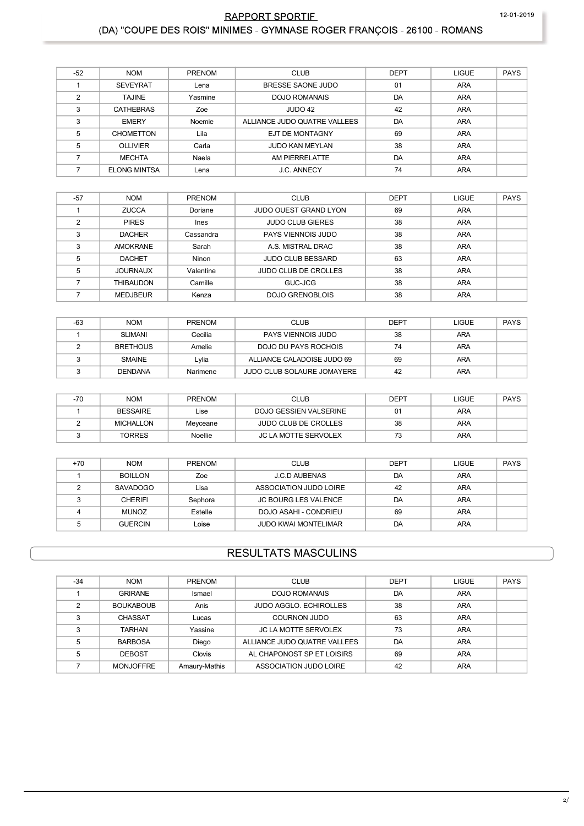## RAPPORT SPORTIE (DA) "COUPE DES ROIS" MINIMES - GYMNASE ROGER FRANÇOIS - 26100 - ROMANS

| $-52$          | <b>NOM</b>          | <b>PRENOM</b> | <b>CLUB</b>                  | <b>DEPT</b> | <b>LIGUE</b> | <b>PAYS</b> |
|----------------|---------------------|---------------|------------------------------|-------------|--------------|-------------|
|                | <b>SEVEYRAT</b>     | Lena          | BRESSE SAONE JUDO            | 01          | <b>ARA</b>   |             |
| $\mathfrak{p}$ | <b>TAJINE</b>       | Yasmine       | DOJO ROMANAIS                | DA          | <b>ARA</b>   |             |
| 3              | <b>CATHEBRAS</b>    | Zoe           | JUDO 42                      | 42          | <b>ARA</b>   |             |
| 3              | <b>EMERY</b>        | Noemie        | ALLIANCE JUDO QUATRE VALLEES | DA          | <b>ARA</b>   |             |
| 5              | <b>CHOMETTON</b>    | Lila          | EJT DE MONTAGNY              | 69          | <b>ARA</b>   |             |
| 5              | <b>OLLIVIER</b>     | Carla         | <b>JUDO KAN MEYLAN</b>       | 38          | ARA          |             |
|                | <b>MECHTA</b>       | Naela         | AM PIERRELATTE               | DA          | ARA          |             |
|                | <b>ELONG MINTSA</b> | Lena          | <b>J.C. ANNECY</b>           | 74          | <b>ARA</b>   |             |

| $-57$ | <b>NOM</b>      | PRENOM    | <b>CLUB</b>                  | <b>DEPT</b> | <b>LIGUE</b> | <b>PAYS</b> |
|-------|-----------------|-----------|------------------------------|-------------|--------------|-------------|
|       | <b>ZUCCA</b>    | Doriane   | <b>JUDO OUEST GRAND LYON</b> | 69          | <b>ARA</b>   |             |
| າ     | <b>PIRES</b>    | Ines      | <b>JUDO CLUB GIERES</b>      | 38          | <b>ARA</b>   |             |
| ົ     | <b>DACHER</b>   | Cassandra | PAYS VIENNOIS JUDO           | 38          | <b>ARA</b>   |             |
| 3     | AMOKRANE        | Sarah     | A.S. MISTRAL DRAC            | 38          | <b>ARA</b>   |             |
| 5     | <b>DACHET</b>   | Ninon     | <b>JUDO CLUB BESSARD</b>     | 63          | <b>ARA</b>   |             |
| 5     | <b>JOURNAUX</b> | Valentine | <b>JUDO CLUB DE CROLLES</b>  | 38          | <b>ARA</b>   |             |
|       | THIBAUDON       | Camille   | GUC-JCG                      | 38          | <b>ARA</b>   |             |
|       | <b>MEDJBEUR</b> | Kenza     | DOJO GRENOBLOIS              | 38          | <b>ARA</b>   |             |

| $-63$ | <b>NOM</b>      | <b>PRENOM</b> | <b>CLUB</b>                | <b>DEPT</b> | LIGUE      | PAYS |
|-------|-----------------|---------------|----------------------------|-------------|------------|------|
|       | SLIMANI         | Cecilia       | PAYS VIENNOIS JUDO         | 38          | <b>ARA</b> |      |
|       | <b>BRETHOUS</b> | Amelie        | DOJO DU PAYS ROCHOIS       | 74          | ARA        |      |
|       | <b>SMAINE</b>   | Lvlia         | ALLIANCE CALADOISE JUDO 69 | 69          | <b>ARA</b> |      |
|       | <b>DENDANA</b>  | Narimene      | JUDO CLUB SOLAURE JOMAYERE | 42          | <b>ARA</b> |      |

| $-70$ | <b>NOM</b>       | <b>PRENOM</b>  | <b>CLUB</b>                 | <b>DEPT</b> | LIGUE      | PAYS |
|-------|------------------|----------------|-----------------------------|-------------|------------|------|
|       | <b>BESSAIRE</b>  | Lise           | DOJO GESSIEN VALSERINE      | 01          | <b>ARA</b> |      |
|       | <b>MICHALLON</b> | Meyceane       | <b>JUDO CLUB DE CROLLES</b> | 38          | <b>ARA</b> |      |
|       | <b>TORRES</b>    | <b>Noellie</b> | <b>JC LA MOTTE SERVOLEX</b> | 73          | <b>ARA</b> |      |

| $+70$ | <b>NOM</b>     | <b>PRENOM</b> | <b>CLUB</b>                 | <b>DEPT</b> | LIGUE      | <b>PAYS</b> |
|-------|----------------|---------------|-----------------------------|-------------|------------|-------------|
|       | <b>BOILLON</b> | Zoe           | J.C.D AUBENAS               | DA          | <b>ARA</b> |             |
|       | SAVADOGO       | Lisa          | ASSOCIATION JUDO LOIRE      | 42          | <b>ARA</b> |             |
|       | <b>CHERIFI</b> | Sephora       | <b>JC BOURG LES VALENCE</b> | DA          | <b>ARA</b> |             |
|       | <b>MUNOZ</b>   | Estelle       | DOJO ASAHI - CONDRIEU       | 69          | <b>ARA</b> |             |
|       | <b>GUERCIN</b> | Loise         | <b>JUDO KWAI MONTELIMAR</b> | DA          | ARA        |             |

# **RESULTATS MASCULINS**

| $-34$ | <b>NOM</b>       | <b>PRENOM</b> | <b>CLUB</b>                   | <b>DEPT</b> | <b>LIGUE</b> | <b>PAYS</b> |
|-------|------------------|---------------|-------------------------------|-------------|--------------|-------------|
|       | <b>GRIRANE</b>   | Ismael        | DOJO ROMANAIS                 | DA          | <b>ARA</b>   |             |
|       | <b>BOUKABOUB</b> | Anis          | <b>JUDO AGGLO, ECHIROLLES</b> | 38          | ARA          |             |
|       | <b>CHASSAT</b>   | Lucas         | COURNON JUDO                  | 63          | <b>ARA</b>   |             |
|       | <b>TARHAN</b>    | Yassine       | <b>JC LA MOTTE SERVOLEX</b>   | 73          | <b>ARA</b>   |             |
| 5     | <b>BARBOSA</b>   | Diego         | ALLIANCE JUDO QUATRE VALLEES  | DA          | ARA          |             |
|       | <b>DEBOST</b>    | Clovis        | AL CHAPONOST SP ET LOISIRS    | 69          | <b>ARA</b>   |             |
|       | <b>MONJOFFRE</b> | Amaury-Mathis | ASSOCIATION JUDO LOIRE        | 42          | ARA          |             |

12-01-2019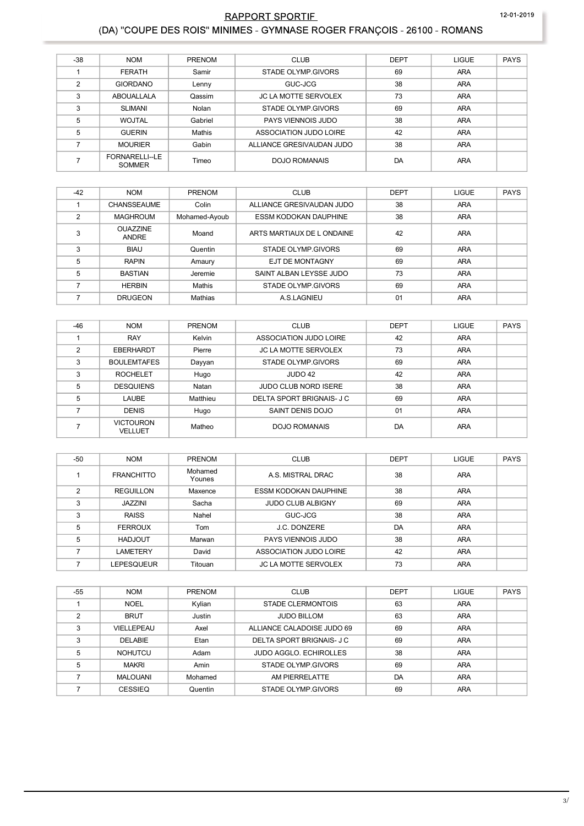### RAPPORT SPORTIF 12-01-2019 (DA) "COUPE DES ROIS" MINIMES - GYMNASE ROGER FRANÇOIS - 26100 - ROMANS

| $-38$         | <b>NOM</b>                     | <b>PRENOM</b> | <b>CLUB</b>                 | <b>DEPT</b> | LIGUE      | <b>PAYS</b> |
|---------------|--------------------------------|---------------|-----------------------------|-------------|------------|-------------|
|               | <b>FERATH</b>                  | Samir         | STADE OLYMP GIVORS          | 69          | <b>ARA</b> |             |
| $\mathcal{P}$ | <b>GIORDANO</b>                | Lenny         | GUC-JCG                     | 38          | ARA        |             |
| 3             | ABOUALLALA                     | Qassim        | <b>JC LA MOTTE SERVOLEX</b> | 73          | <b>ARA</b> |             |
| 3             | <b>SLIMANI</b>                 | Nolan         | STADE OLYMP GIVORS          | 69          | <b>ARA</b> |             |
| 5             | <b>WOJTAL</b>                  | Gabriel       | PAYS VIENNOIS JUDO          | 38          | <b>ARA</b> |             |
| 5             | <b>GUERIN</b>                  | Mathis        | ASSOCIATION JUDO LOIRE      | 42          | ARA        |             |
|               | <b>MOURIER</b>                 | Gabin         | ALLIANCE GRESIVAUDAN JUDO   | 38          | <b>ARA</b> |             |
|               | FORNARELLI-LE<br><b>SOMMER</b> | Timeo         | DOJO ROMANAIS               | DA          | <b>ARA</b> |             |

| $-42$ | <b>NOM</b>                      | <b>PRENOM</b> | <b>CLUB</b>                  | <b>DEPT</b> | LIGUE      | <b>PAYS</b> |
|-------|---------------------------------|---------------|------------------------------|-------------|------------|-------------|
|       | <b>CHANSSEAUME</b>              | Colin         | ALLIANCE GRESIVAUDAN JUDO    | 38          | <b>ARA</b> |             |
| 2     | <b>MAGHROUM</b>                 | Mohamed-Ayoub | <b>ESSM KODOKAN DAUPHINE</b> | 38          | <b>ARA</b> |             |
|       | <b>OUAZZINE</b><br><b>ANDRE</b> | Moand         | ARTS MARTIAUX DE L ONDAINE   | 42          | ARA        |             |
| 3     | <b>BIAU</b>                     | Quentin       | STADE OLYMP.GIVORS           | 69          | <b>ARA</b> |             |
| 5     | <b>RAPIN</b>                    | Amaury        | EJT DE MONTAGNY              | 69          | <b>ARA</b> |             |
| 5     | <b>BASTIAN</b>                  | Jeremie       | SAINT ALBAN LEYSSE JUDO      | 73          | ARA        |             |
|       | <b>HERBIN</b>                   | Mathis        | STADE OLYMP.GIVORS           | 69          | <b>ARA</b> |             |
|       | <b>DRUGEON</b>                  | Mathias       | A.S.LAGNIEU                  | 01          | <b>ARA</b> |             |

| $-46$ | <b>NOM</b>                  | PRENOM   | <b>CLUB</b>                 | <b>DEPT</b> | <b>LIGUE</b> | <b>PAYS</b> |
|-------|-----------------------------|----------|-----------------------------|-------------|--------------|-------------|
|       | <b>RAY</b>                  | Kelvin   | ASSOCIATION JUDO LOIRE      | 42          | <b>ARA</b>   |             |
| 2     | EBERHARDT                   | Pierre   | <b>JC LA MOTTE SERVOLEX</b> | 73          | <b>ARA</b>   |             |
| 3     | <b>BOULEMTAFES</b>          | Dayyan   | STADE OLYMP GIVORS          | 69          | <b>ARA</b>   |             |
| 3     | <b>ROCHELET</b>             | Hugo     | JUDO 42                     | 42          | <b>ARA</b>   |             |
| 5     | <b>DESQUIENS</b>            | Natan    | <b>JUDO CLUB NORD ISERE</b> | 38          | <b>ARA</b>   |             |
| 5     | LAUBE                       | Matthieu | DELTA SPORT BRIGNAIS- J C   | 69          | <b>ARA</b>   |             |
|       | <b>DENIS</b>                | Hugo     | SAINT DENIS DOJO            | 01          | <b>ARA</b>   |             |
|       | <b>VICTOURON</b><br>VELLUET | Matheo   | <b>DOJO ROMANAIS</b>        | DA          | <b>ARA</b>   |             |

| $-50$ | <b>NOM</b>        | <b>PRENOM</b>     | <b>CLUB</b>                  | <b>DEPT</b> | <b>LIGUE</b> | <b>PAYS</b> |
|-------|-------------------|-------------------|------------------------------|-------------|--------------|-------------|
|       | <b>FRANCHITTO</b> | Mohamed<br>Younes | A.S. MISTRAL DRAC            | 38          | <b>ARA</b>   |             |
| 2     | <b>REGUILLON</b>  | Maxence           | <b>ESSM KODOKAN DAUPHINE</b> | 38          | <b>ARA</b>   |             |
| 3     | <b>JAZZINI</b>    | Sacha             | <b>JUDO CLUB ALBIGNY</b>     | 69          | <b>ARA</b>   |             |
| 3     | <b>RAISS</b>      | Nahel             | GUC-JCG                      | 38          | <b>ARA</b>   |             |
| 5     | <b>FERROUX</b>    | Tom               | J.C. DONZERE                 | DA          | <b>ARA</b>   |             |
| 5     | <b>HADJOUT</b>    | Marwan            | PAYS VIENNOIS JUDO           | 38          | <b>ARA</b>   |             |
|       | LAMETERY          | David             | ASSOCIATION JUDO LOIRE       | 42          | <b>ARA</b>   |             |
|       | LEPESQUEUR        | Titouan           | <b>JC LA MOTTE SERVOLEX</b>  | 73          | <b>ARA</b>   |             |

| $-55$ | <b>NOM</b>      | <b>PRENOM</b> | <b>CLUB</b>                   | <b>DEPT</b> | <b>LIGUE</b> | <b>PAYS</b> |
|-------|-----------------|---------------|-------------------------------|-------------|--------------|-------------|
|       | <b>NOEL</b>     | Kylian        | STADE CLERMONTOIS             | 63          | <b>ARA</b>   |             |
| C     | <b>BRUT</b>     | Justin        | <b>JUDO BILLOM</b>            | 63          | <b>ARA</b>   |             |
| 3     | VIELLEPEAU      | Axel          | ALLIANCE CALADOISE JUDO 69    | 69          | <b>ARA</b>   |             |
| 3     | <b>DELABIE</b>  | Etan          | DELTA SPORT BRIGNAIS- J C     | 69          | <b>ARA</b>   |             |
| 5     | <b>NOHUTCU</b>  | Adam          | <b>JUDO AGGLO, ECHIROLLES</b> | 38          | <b>ARA</b>   |             |
| 5     | <b>MAKRI</b>    | Amin          | STADE OLYMP GIVORS            | 69          | <b>ARA</b>   |             |
|       | <b>MALOUANI</b> | Mohamed       | AM PIERRELATTE                | DA          | <b>ARA</b>   |             |
|       | <b>CESSIEQ</b>  | Quentin       | STADE OLYMP GIVORS            | 69          | <b>ARA</b>   |             |